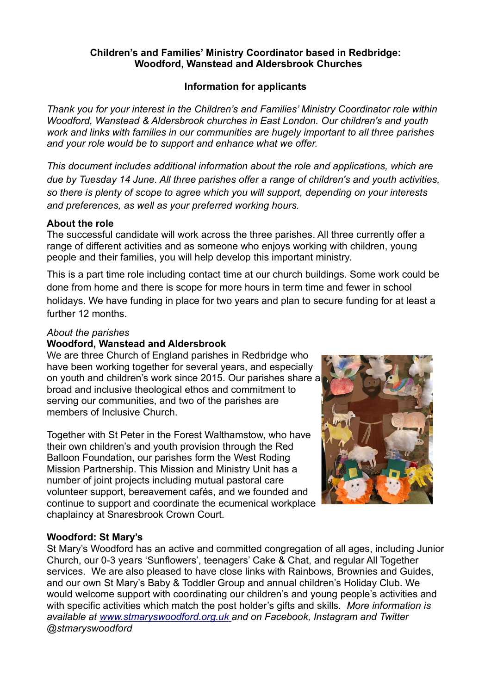#### Children's and Families' Ministry Coordinator based in Redbridge: Woodford, Wanstead and Aldersbrook Churches

#### Information for applicants

Thank you for your interest in the Children's and Families' Ministry Coordinator role within Woodford, Wanstead & Aldersbrook churches in East London. Our children's and youth work and links with families in our communities are hugely important to all three parishes and your role would be to support and enhance what we offer.

This document includes additional information about the role and applications, which are due by Tuesday 14 June. All three parishes offer a range of children's and youth activities, so there is plenty of scope to agree which you will support, depending on your interests and preferences, as well as your preferred working hours.

#### About the role

The successful candidate will work across the three parishes. All three currently offer a range of different activities and as someone who enjoys working with children, young people and their families, you will help develop this important ministry.

This is a part time role including contact time at our church buildings. Some work could be done from home and there is scope for more hours in term time and fewer in school holidays. We have funding in place for two years and plan to secure funding for at least a further 12 months.

#### About the parishes

#### Woodford, Wanstead and Aldersbrook

We are three Church of England parishes in Redbridge who have been working together for several years, and especially on youth and children's work since 2015. Our parishes share a broad and inclusive theological ethos and commitment to serving our communities, and two of the parishes are members of Inclusive Church.

Together with St Peter in the Forest Walthamstow, who have their own children's and youth provision through the Red Balloon Foundation, our parishes form the West Roding Mission Partnership. This Mission and Ministry Unit has a number of joint projects including mutual pastoral care volunteer support, bereavement cafés, and we founded and continue to support and coordinate the ecumenical workplace chaplaincy at Snaresbrook Crown Court.



# Woodford: St Mary's

St Mary's Woodford has an active and committed congregation of all ages, including Junior Church, our 0-3 years 'Sunflowers', teenagers' Cake & Chat, and regular All Together services. We are also pleased to have close links with Rainbows, Brownies and Guides, and our own St Mary's Baby & Toddler Group and annual children's Holiday Club. We would welcome support with coordinating our children's and young people's activities and with specific activities which match the post holder's gifts and skills. More information is available at www.stmaryswoodford.org.uk and on Facebook, Instagram and Twitter @stmaryswoodford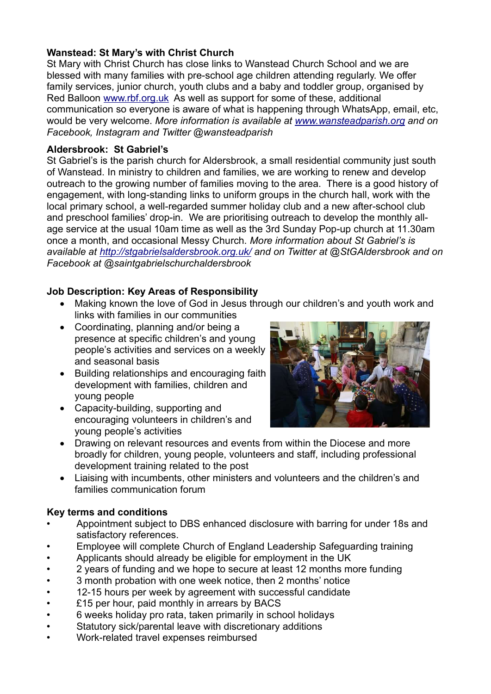# Wanstead: St Mary's with Christ Church

St Mary with Christ Church has close links to Wanstead Church School and we are blessed with many families with pre-school age children attending regularly. We offer family services, junior church, youth clubs and a baby and toddler group, organised by Red Balloon www.rbf.org.uk As well as support for some of these, additional communication so everyone is aware of what is happening through WhatsApp, email, etc, would be very welcome. More information is available at www.wansteadparish.org and on Facebook, Instagram and Twitter @wansteadparish

# Aldersbrook: St Gabriel's

St Gabriel's is the parish church for Aldersbrook, a small residential community just south of Wanstead. In ministry to children and families, we are working to renew and develop outreach to the growing number of families moving to the area. There is a good history of engagement, with long-standing links to uniform groups in the church hall, work with the local primary school, a well-regarded summer holiday club and a new after-school club and preschool families' drop-in. We are prioritising outreach to develop the monthly allage service at the usual 10am time as well as the 3rd Sunday Pop-up church at 11.30am once a month, and occasional Messy Church. More information about St Gabriel's is available at http://stgabrielsaldersbrook.org.uk/ and on Twitter at @StGAldersbrook and on Facebook at @saintgabrielschurchaldersbrook

# Job Description: Key Areas of Responsibility

- Making known the love of God in Jesus through our children's and youth work and links with families in our communities
- Coordinating, planning and/or being a presence at specific children's and young people's activities and services on a weekly and seasonal basis
- Building relationships and encouraging faith development with families, children and young people
- Capacity-building, supporting and encouraging volunteers in children's and young people's activities



- Drawing on relevant resources and events from within the Diocese and more broadly for children, young people, volunteers and staff, including professional development training related to the post
- Liaising with incumbents, other ministers and volunteers and the children's and families communication forum

# Key terms and conditions

- Appointment subject to DBS enhanced disclosure with barring for under 18s and satisfactory references.
- Employee will complete Church of England Leadership Safeguarding training
- Applicants should already be eligible for employment in the UK
- 2 years of funding and we hope to secure at least 12 months more funding
- 3 month probation with one week notice, then 2 months' notice
- 12-15 hours per week by agreement with successful candidate
- £15 per hour, paid monthly in arrears by BACS
- 6 weeks holiday pro rata, taken primarily in school holidays
- Statutory sick/parental leave with discretionary additions
- Work-related travel expenses reimbursed